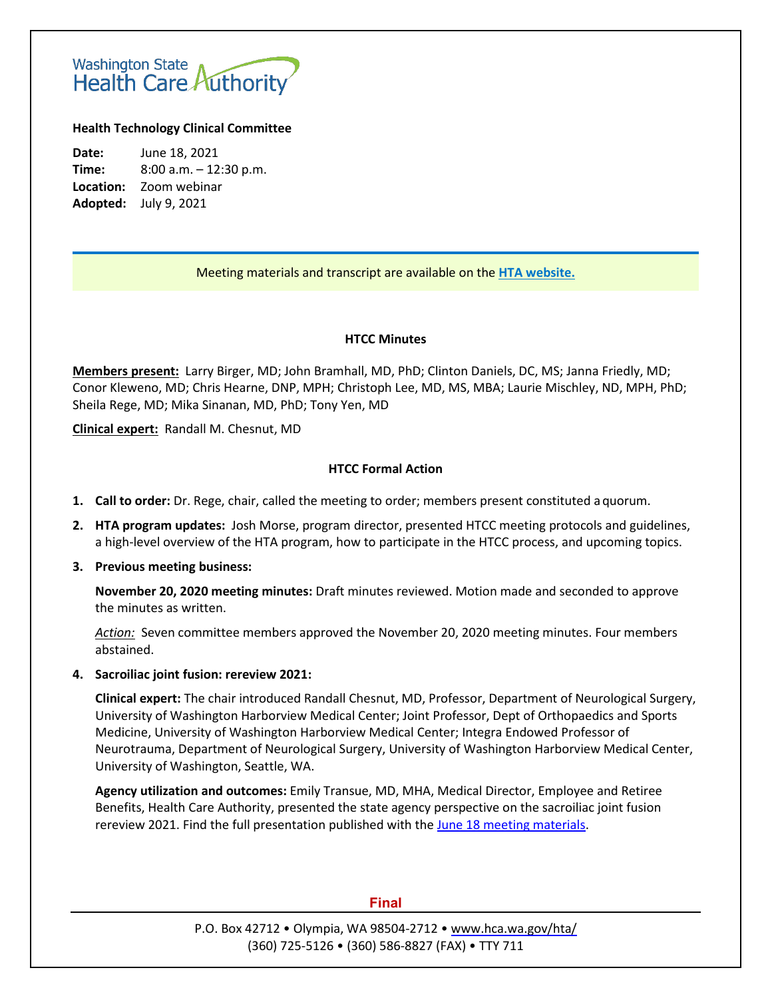# Washington State<br>Health Care Authority

#### **Health Technology Clinical Committee**

**Date:** June 18, 2021 **Time:** 8:00 a.m. – 12:30 p.m. **Location:** Zoom webinar **Adopted:** July 9, 2021

## Meeting materials and transcript are available on the **[HTA website.](http://www.hca.wa.gov/about-hca/health-technology-assessment/meetings-and-materials)**

#### **HTCC Minutes**

**Members present:** Larry Birger, MD; John Bramhall, MD, PhD; Clinton Daniels, DC, MS; Janna Friedly, MD; Conor Kleweno, MD; Chris Hearne, DNP, MPH; Christoph Lee, MD, MS, MBA; Laurie Mischley, ND, MPH, PhD; Sheila Rege, MD; Mika Sinanan, MD, PhD; Tony Yen, MD

**Clinical expert:** Randall M. Chesnut, MD

#### **HTCC Formal Action**

- **1. Call to order:** Dr. Rege, chair, called the meeting to order; members present constituted aquorum.
- **2. HTA program updates:** Josh Morse, program director, presented HTCC meeting protocols and guidelines, a high-level overview of the HTA program, how to participate in the HTCC process, and upcoming topics.
- **3. Previous meeting business:**

**November 20, 2020 meeting minutes:** Draft minutes reviewed. Motion made and seconded to approve the minutes as written.

*Action:* Seven committee members approved the November 20, 2020 meeting minutes. Four members abstained.

**4. Sacroiliac joint fusion: rereview 2021:**

**Clinical expert:** The chair introduced Randall Chesnut, MD, Professor, Department of Neurological Surgery, University of Washington Harborview Medical Center; Joint Professor, Dept of Orthopaedics and Sports Medicine, University of Washington Harborview Medical Center; Integra Endowed Professor of Neurotrauma, Department of Neurological Surgery, University of Washington Harborview Medical Center, University of Washington, Seattle, WA.

**Agency utilization and outcomes:** Emily Transue, MD, MHA, Medical Director, Employee and Retiree Benefits, Health Care Authority, presented the state agency perspective on the sacroiliac joint fusion rereview 2021. Find the full presentation published with the June 18 [meeting materials.](https://www.hca.wa.gov/about-hca/health-technology-assessment/meetings-and-materials)

#### **Final**

P.O. Box 42712 • Olympia, WA 98504-2712 [• www.hca.wa.gov/hta/](http://www.hca.wa.gov/hta/) (360) 725-5126 • (360) 586-8827 (FAX) • TTY 711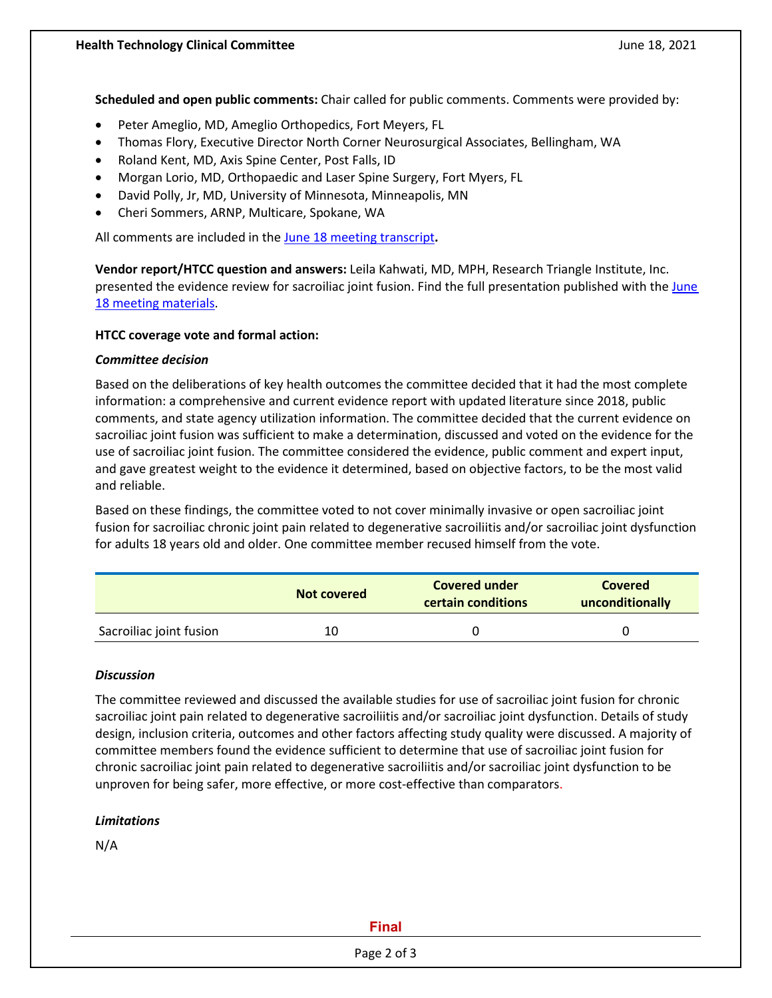**Scheduled and open public comments:** Chair called for public comments. Comments were provided by:

- Peter Ameglio, MD, Ameglio Orthopedics, Fort Meyers, FL
- Thomas Flory, Executive Director North Corner Neurosurgical Associates, Bellingham, WA
- Roland Kent, MD, Axis Spine Center, Post Falls, ID
- Morgan Lorio, MD, Orthopaedic and Laser Spine Surgery, Fort Myers, FL
- David Polly, Jr, MD, University of Minnesota, Minneapolis, MN
- Cheri Sommers, ARNP, Multicare, Spokane, WA

All comments are included in the June 18 [meeting transcript](https://www.hca.wa.gov/assets/program/20210618-htcc-mtg-transcript.pdf)**.**

**Vendor report/HTCC question and answers:** Leila Kahwati, MD, MPH, Research Triangle Institute, Inc. presented the evidence review for sacroiliac joint fusion. Find the full presentation published with the [June](https://www.hca.wa.gov/about-hca/health-technology-assessment/meetings-and-materials)  18 [meeting materials.](https://www.hca.wa.gov/about-hca/health-technology-assessment/meetings-and-materials)

#### **HTCC coverage vote and formal action:**

#### *Committee decision*

Based on the deliberations of key health outcomes the committee decided that it had the most complete information: a comprehensive and current evidence report with updated literature since 2018, public comments, and state agency utilization information. The committee decided that the current evidence on sacroiliac joint fusion was sufficient to make a determination, discussed and voted on the evidence for the use of sacroiliac joint fusion. The committee considered the evidence, public comment and expert input, and gave greatest weight to the evidence it determined, based on objective factors, to be the most valid and reliable.

Based on these findings, the committee voted to not cover minimally invasive or open sacroiliac joint fusion for sacroiliac chronic joint pain related to degenerative sacroiliitis and/or sacroiliac joint dysfunction for adults 18 years old and older. One committee member recused himself from the vote.

|                         | Not covered | <b>Covered under</b><br>certain conditions | <b>Covered</b><br>unconditionally |
|-------------------------|-------------|--------------------------------------------|-----------------------------------|
| Sacroiliac joint fusion | 10          |                                            |                                   |

#### *Discussion*

The committee reviewed and discussed the available studies for use of sacroiliac joint fusion for chronic sacroiliac joint pain related to degenerative sacroiliitis and/or sacroiliac joint dysfunction. Details of study design, inclusion criteria, outcomes and other factors affecting study quality were discussed. A majority of committee members found the evidence sufficient to determine that use of sacroiliac joint fusion for chronic sacroiliac joint pain related to degenerative sacroiliitis and/or sacroiliac joint dysfunction to be unproven for being safer, more effective, or more cost-effective than comparators.

#### *Limitations*

N/A

#### **Final**